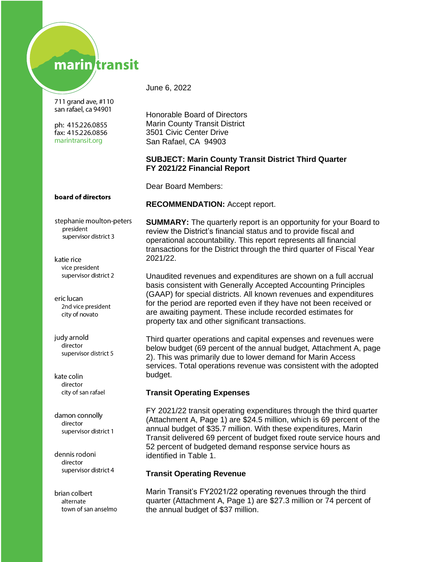# marin transit

711 grand ave, #110 san rafael, ca 94901

ph: 415.226.0855 fax: 415.226.0856 marintransit.org

June 6, 2022

Honorable Board of Directors Marin County Transit District 3501 Civic Center Drive San Rafael, CA 94903

## **SUBJECT: Marin County Transit District Third Quarter FY 2021/22 Financial Report**

Dear Board Members:

## board of directors

stephanie moulton-peters president supervisor district 3

katie rice vice president supervisor district 2

eric lucan 2nd vice president city of novato

judy arnold director supervisor district 5

kate colin director city of san rafael

damon connolly director supervisor district 1

dennis rodoni director supervisor district 4

brian colbert alternate town of san anselmo **RECOMMENDATION:** Accept report.

**SUMMARY:** The quarterly report is an opportunity for your Board to review the District's financial status and to provide fiscal and operational accountability. This report represents all financial transactions for the District through the third quarter of Fiscal Year 2021/22.

Unaudited revenues and expenditures are shown on a full accrual basis consistent with Generally Accepted Accounting Principles (GAAP) for special districts. All known revenues and expenditures for the period are reported even if they have not been received or are awaiting payment. These include recorded estimates for property tax and other significant transactions.

Third quarter operations and capital expenses and revenues were below budget (69 percent of the annual budget, Attachment A, page 2). This was primarily due to lower demand for Marin Access services. Total operations revenue was consistent with the adopted budget.

## **Transit Operating Expenses**

FY 2021/22 transit operating expenditures through the third quarter (Attachment A, Page 1) are \$24.5 million, which is 69 percent of the annual budget of \$35.7 million. With these expenditures, Marin Transit delivered 69 percent of budget fixed route service hours and 52 percent of budgeted demand response service hours as identified in Table 1.

## **Transit Operating Revenue**

Marin Transit's FY2021/22 operating revenues through the third quarter (Attachment A, Page 1) are \$27.3 million or 74 percent of the annual budget of \$37 million.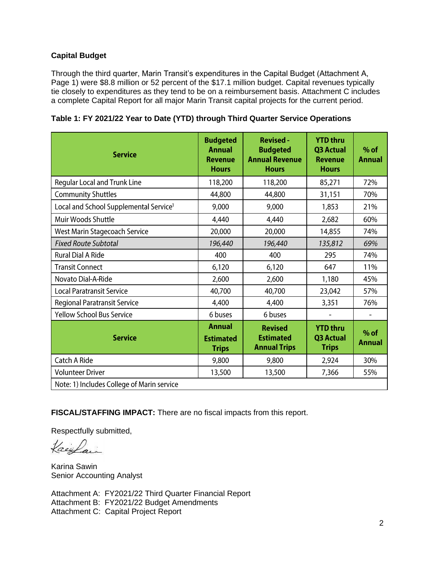## **Capital Budget**

Through the third quarter, Marin Transit's expenditures in the Capital Budget (Attachment A, Page 1) were \$8.8 million or 52 percent of the \$17.1 million budget. Capital revenues typically tie closely to expenditures as they tend to be on a reimbursement basis. Attachment C includes a complete Capital Report for all major Marin Transit capital projects for the current period.

| <b>Service</b>                                     | <b>Budgeted</b><br><b>Annual</b><br><b>Revenue</b><br><b>Hours</b> | <b>Revised -</b><br><b>Budgeted</b><br><b>Annual Revenue</b><br><b>Hours</b> | <b>YTD thru</b><br>Q3 Actual<br><b>Revenue</b><br><b>Hours</b> | $%$ of<br><b>Annual</b> |
|----------------------------------------------------|--------------------------------------------------------------------|------------------------------------------------------------------------------|----------------------------------------------------------------|-------------------------|
| <b>Regular Local and Trunk Line</b>                | 118,200                                                            | 118,200                                                                      | 85,271                                                         | 72%                     |
| <b>Community Shuttles</b>                          | 44,800                                                             | 44,800                                                                       | 31,151                                                         | 70%                     |
| Local and School Supplemental Service <sup>1</sup> | 9,000                                                              | 9,000                                                                        | 1,853                                                          | 21%                     |
| Muir Woods Shuttle                                 | 4,440                                                              | 4,440                                                                        | 2,682                                                          | 60%                     |
| West Marin Stagecoach Service                      | 20,000                                                             | 20,000                                                                       | 14,855                                                         | 74%                     |
| <b>Fixed Route Subtotal</b>                        | 196,440                                                            | 196,440                                                                      | 135,812                                                        | 69%                     |
| <b>Rural Dial A Ride</b>                           | 400                                                                | 400                                                                          | 295                                                            | 74%                     |
| <b>Transit Connect</b>                             | 6,120                                                              | 6,120                                                                        | 647                                                            | 11%                     |
| Novato Dial-A-Ride                                 | 2,600                                                              | 2,600                                                                        | 1,180                                                          | 45%                     |
| <b>Local Paratransit Service</b>                   | 40,700                                                             | 40,700                                                                       | 23,042                                                         | 57%                     |
| <b>Regional Paratransit Service</b>                | 4,400                                                              | 4,400                                                                        | 3,351                                                          | 76%                     |
| <b>Yellow School Bus Service</b>                   | 6 buses                                                            | 6 buses                                                                      |                                                                |                         |
| <b>Service</b>                                     | <b>Annual</b><br><b>Estimated</b><br><b>Trips</b>                  | <b>Revised</b><br><b>Estimated</b><br><b>Annual Trips</b>                    | <b>YTD thru</b><br><b>Q3 Actual</b><br><b>Trips</b>            | $%$ of<br><b>Annual</b> |
| Catch A Ride                                       | 9,800                                                              | 9,800                                                                        | 2,924                                                          | 30%                     |
| <b>Volunteer Driver</b>                            | 13,500                                                             | 13,500                                                                       | 7,366                                                          | 55%                     |
| Note: 1) Includes College of Marin service         |                                                                    |                                                                              |                                                                |                         |

**Table 1: FY 2021/22 Year to Date (YTD) through Third Quarter Service Operations**

**FISCAL/STAFFING IMPACT:** There are no fiscal impacts from this report.

Respectfully submitted,

Kaisfair

Karina Sawin Senior Accounting Analyst

Attachment A: FY2021/22 Third Quarter Financial Report Attachment B: FY2021/22 Budget Amendments Attachment C: Capital Project Report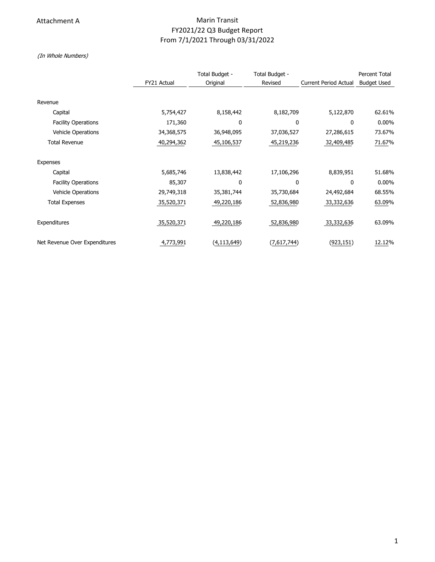## Attachment A **Marin Transit** Marin Transit FY2021/22 Q3 Budget Report From 7/1/2021 Through 03/31/2022

(In Whole Numbers)

|                               |             | Total Budget - | Total Budget - |                              | <b>Percent Total</b> |
|-------------------------------|-------------|----------------|----------------|------------------------------|----------------------|
|                               | FY21 Actual | Original       | Revised        | <b>Current Period Actual</b> | <b>Budget Used</b>   |
|                               |             |                |                |                              |                      |
| Revenue                       |             |                |                |                              |                      |
| Capital                       | 5,754,427   | 8,158,442      | 8,182,709      | 5,122,870                    | 62.61%               |
| <b>Facility Operations</b>    | 171,360     | 0              | 0              | 0                            | $0.00\%$             |
| <b>Vehicle Operations</b>     | 34,368,575  | 36,948,095     | 37,036,527     | 27,286,615                   | 73.67%               |
| <b>Total Revenue</b>          | 40,294,362  | 45,106,537     | 45,219,236     | 32,409,485                   | 71.67%               |
| <b>Expenses</b>               |             |                |                |                              |                      |
| Capital                       | 5,685,746   | 13,838,442     | 17,106,296     | 8,839,951                    | 51.68%               |
| <b>Facility Operations</b>    | 85,307      | 0              | 0              | 0                            | $0.00\%$             |
| <b>Vehicle Operations</b>     | 29,749,318  | 35,381,744     | 35,730,684     | 24,492,684                   | 68.55%               |
| <b>Total Expenses</b>         | 35,520,371  | 49,220,186     | 52,836,980     | 33,332,636                   | 63.09%               |
| Expenditures                  | 35,520,371  | 49,220,186     | 52,836,980     | 33,332,636                   | 63.09%               |
| Net Revenue Over Expenditures | 4,773,991   | (4, 113, 649)  | (7,617,744)    | (923,151)                    | 12.12%               |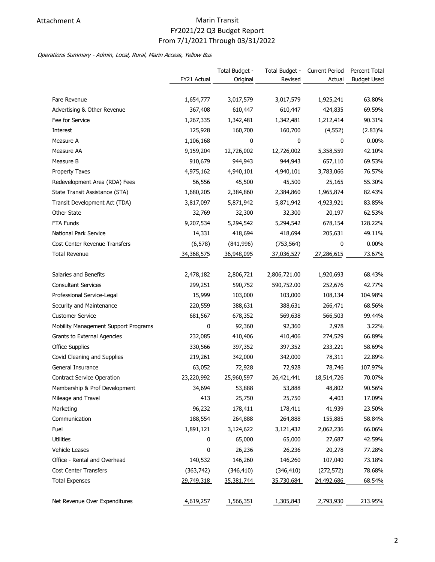# Attachment A **Marin Transit** Marin Transit FY2021/22 Q3 Budget Report From 7/1/2021 Through 03/31/2022

### Operations Summary - Admin, Local, Rural, Marin Access, Yellow Bus

|                                      |             | Total Budget - | Total Budget - | <b>Current Period</b> | Percent Total      |
|--------------------------------------|-------------|----------------|----------------|-----------------------|--------------------|
|                                      | FY21 Actual | Original       | Revised        | Actual                | <b>Budget Used</b> |
|                                      |             |                |                |                       |                    |
| Fare Revenue                         | 1,654,777   | 3,017,579      | 3,017,579      | 1,925,241             | 63.80%             |
| Advertising & Other Revenue          | 367,408     | 610,447        | 610,447        | 424,835               | 69.59%             |
| Fee for Service                      | 1,267,335   | 1,342,481      | 1,342,481      | 1,212,414             | 90.31%             |
| Interest                             | 125,928     | 160,700        | 160,700        | (4, 552)              | $(2.83)\%$         |
| Measure A                            | 1,106,168   | 0              | 0              | 0                     | $0.00\%$           |
| Measure AA                           | 9,159,204   | 12,726,002     | 12,726,002     | 5,358,559             | 42.10%             |
| Measure B                            | 910,679     | 944,943        | 944,943        | 657,110               | 69.53%             |
| <b>Property Taxes</b>                | 4,975,162   | 4,940,101      | 4,940,101      | 3,783,066             | 76.57%             |
| Redevelopment Area (RDA) Fees        | 56,556      | 45,500         | 45,500         | 25,165                | 55.30%             |
| State Transit Assistance (STA)       | 1,680,205   | 2,384,860      | 2,384,860      | 1,965,874             | 82.43%             |
| Transit Development Act (TDA)        | 3,817,097   | 5,871,942      | 5,871,942      | 4,923,921             | 83.85%             |
| Other State                          | 32,769      | 32,300         | 32,300         | 20,197                | 62.53%             |
| FTA Funds                            | 9,207,534   | 5,294,542      | 5,294,542      | 678,154               | 128.22%            |
| National Park Service                | 14,331      | 418,694        | 418,694        | 205,631               | 49.11%             |
| <b>Cost Center Revenue Transfers</b> | (6, 578)    | (841,996)      | (753, 564)     | 0                     | 0.00%              |
| <b>Total Revenue</b>                 | 34,368,575  | 36,948,095     | 37,036,527     | 27,286,615            | 73.67%             |
|                                      |             |                |                |                       |                    |
| Salaries and Benefits                | 2,478,182   | 2,806,721      | 2,806,721.00   | 1,920,693             | 68.43%             |
| <b>Consultant Services</b>           | 299,251     | 590,752        | 590,752.00     | 252,676               | 42.77%             |
| Professional Service-Legal           | 15,999      | 103,000        | 103,000        | 108,134               | 104.98%            |
| Security and Maintenance             | 220,559     | 388,631        | 388,631        | 266,471               | 68.56%             |
| <b>Customer Service</b>              | 681,567     | 678,352        | 569,638        | 566,503               | 99.44%             |
| Mobility Management Support Programs | 0           | 92,360         | 92,360         | 2,978                 | 3.22%              |
| Grants to External Agencies          | 232,085     | 410,406        | 410,406        | 274,529               | 66.89%             |
| Office Supplies                      | 330,566     | 397,352        | 397,352        | 233,221               | 58.69%             |
| Covid Cleaning and Supplies          | 219,261     | 342,000        | 342,000        | 78,311                | 22.89%             |
| General Insurance                    | 63,052      | 72,928         | 72,928         | 78,746                | 107.97%            |
| <b>Contract Service Operation</b>    | 23,220,992  | 25,960,597     | 26,421,441     | 18,514,726            | 70.07%             |
| Membership & Prof Development        | 34,694      | 53,888         | 53,888         | 48,802                | 90.56%             |
| Mileage and Travel                   | 413         | 25,750         | 25,750         | 4,403                 | 17.09%             |
| Marketing                            | 96,232      | 178,411        | 178,411        | 41,939                | 23.50%             |
| Communication                        | 188,554     | 264,888        | 264,888        | 155,885               | 58.84%             |
| Fuel                                 | 1,891,121   | 3,124,622      | 3,121,432      | 2,062,236             | 66.06%             |
| <b>Utilities</b>                     | 0           | 65,000         | 65,000         | 27,687                | 42.59%             |
| Vehicle Leases                       | 0           | 26,236         | 26,236         | 20,278                | 77.28%             |
| Office - Rental and Overhead         | 140,532     | 146,260        | 146,260        | 107,040               | 73.18%             |
| Cost Center Transfers                | (363, 742)  | (346, 410)     | (346, 410)     | (272, 572)            | 78.68%             |
| <b>Total Expenses</b>                | 29,749,318  | 35,381,744     | 35,730,684     | 24,492,686            | 68.54%             |
|                                      |             |                |                |                       |                    |
| Net Revenue Over Expenditures        | 4,619,257   | 1,566,351      | 1,305,843      | 2,793,930             | 213.95%            |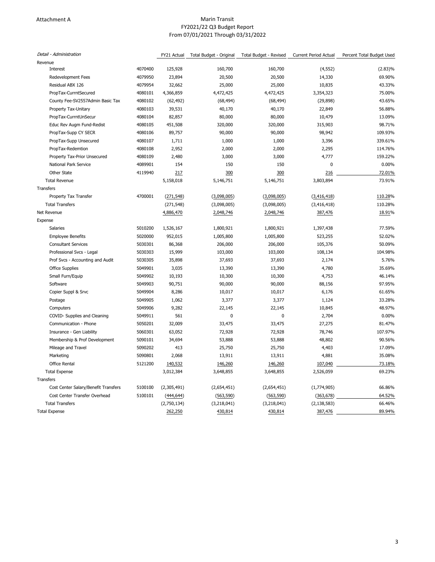#### Attachment A **Marin Transit Marin Transit** FY2021/22 Q3 Budget Report From 07/01/2021 Through 03/31/2022

| Revenue<br>4070400<br>125,928<br>160,700<br>160,700<br>(4, 552)<br>(2.83)%<br>Interest<br>4079950<br>23,894<br>20,500<br>69.90%<br><b>Redevelopment Fees</b><br>20,500<br>14,330<br>Residual ABX 126<br>4079954<br>32,662<br>25,000<br>25,000<br>10,835<br>43.33%<br>75.00%<br>PropTax-CurrntSecured<br>4080101<br>4,366,859<br>4,472,425<br>4,472,425<br>3,354,323<br>4080102<br>43.65%<br>County Fee-SV2557Admin Basic Tax<br>(62, 492)<br>(68, 494)<br>(68, 494)<br>(29, 898)<br>Property Tax-Unitary<br>4080103<br>39,531<br>40,170<br>40,170<br>22,849<br>56.88%<br>PropTax-CurrntUnSecur<br>4080104<br>82,857<br>80,000<br>80,000<br>10,479<br>13.09%<br>4080105<br>320,000<br>98.71%<br>Educ Rev Augm Fund-Redist<br>451,508<br>320,000<br>315,903<br>4080106<br>90,000<br>90,000<br>98,942<br>109.93%<br>PropTax-Supp CY SECR<br>89,757<br>PropTax-Supp Unsecured<br>4080107<br>1,711<br>1,000<br>1,000<br>3,396<br>339.61%<br>4080108<br>2,952<br>PropTax-Redemtion<br>2,000<br>2,000<br>2,295<br>114.76%<br>Property Tax-Prior Unsecured<br>4080109<br>2,480<br>3,000<br>3,000<br>4,777<br>159.22%<br>National Park Service<br>4089901<br>154<br>150<br>150<br>$\mathbf 0$<br>0.00%<br>Other State<br>4119940<br>300<br>300<br>72.01%<br>217<br>216<br>73.91%<br><b>Total Revenue</b><br>5,158,018<br>5,146,751<br>5,146,751<br>3,803,894<br>Property Tax Transfer<br>4700001<br>110.28%<br>(271, 548)<br>(3,098,005)<br>(3,098,005)<br>(3, 416, 418)<br><b>Total Transfers</b><br>(271, 548)<br>(3,098,005)<br>(3,098,005)<br>(3, 416, 418)<br>110.28%<br>Net Revenue<br>4,886,470<br>2,048,746<br>2,048,746<br>387,476<br>18.91%<br>Expense<br>Salaries<br>5010200<br>1,800,921<br>1,800,921<br>1,397,438<br>77.59%<br>1,526,167<br>5020000<br>52.02%<br><b>Employee Benefits</b><br>952,015<br>1,005,800<br>1,005,800<br>523,255<br><b>Consultant Services</b><br>5030301<br>86,368<br>206,000<br>206,000<br>105,376<br>50.09%<br>Professional Svcs - Legal<br>5030303<br>15,999<br>103,000<br>103,000<br>108,134<br>104.98%<br>37,693<br>2,174<br>5.76%<br>Prof Svcs - Accounting and Audit<br>5030305<br>35,898<br>37,693<br>Office Supplies<br>5049901<br>3,035<br>13,390<br>13,390<br>4,780<br>35.69%<br>Small Furn/Equip<br>5049902<br>10,193<br>10,300<br>10,300<br>4,753<br>46.14%<br>5049903<br>90,751<br>90,000<br>Software<br>90,000<br>88,156<br>97.95%<br>Copier Suppl & Srvc<br>5049904<br>8,286<br>10,017<br>10,017<br>6,176<br>61.65%<br>5049905<br>1,062<br>3,377<br>3,377<br>1,124<br>33.28%<br>Postage<br>5049906<br>9,282<br>22,145<br>22,145<br>10,845<br>48.97%<br>Computers<br>5049911<br>561<br>$\mathbf 0$<br>$\mathbf 0$<br>2,704<br>0.00%<br>COVID- Supplies and Cleaning<br>Communication - Phone<br>5050201<br>32,009<br>33,475<br>33,475<br>27,275<br>81.47%<br>5060301<br>72,928<br>107.97%<br>Insurance - Gen Liability<br>63,052<br>72,928<br>78,746<br>Membership & Prof Development<br>5090101<br>34,694<br>53,888<br>53,888<br>48,802<br>90.56%<br>5090202<br>413<br>25,750<br>25,750<br>4,403<br>17.09%<br>Mileage and Travel<br>5090801<br>2,068<br>13,911<br>13,911<br>4,881<br>35.08%<br>Marketing<br>5121200<br><b>Office Rental</b><br>140,532<br>146,260<br>146,260<br>107,040<br>73.18%<br>69.23%<br><b>Total Expense</b><br>3,012,384<br>3,648,855<br>3,648,855<br>2,526,059<br>Cost Center Salary/Benefit Transfers<br>5100100<br>(2,305,491)<br>(1,774,905)<br>66.86%<br>(2,654,451)<br>(2,654,451)<br>5100101<br>64.52%<br>Cost Center Transfer Overhead<br>(444, 644)<br>(563, 590)<br>(563, 590)<br>(363, 678)<br><b>Total Transfers</b><br>(2,750,134)<br>66.46%<br>(3,218,041)<br>(3,218,041)<br>(2, 138, 583)<br>89.94%<br>262,250<br>430,814<br>430,814<br>387,476 | Detail - Administration | FY21 Actual | Total Budget - Original | Total Budget - Revised | <b>Current Period Actual</b> | Percent Total Budget Used |
|--------------------------------------------------------------------------------------------------------------------------------------------------------------------------------------------------------------------------------------------------------------------------------------------------------------------------------------------------------------------------------------------------------------------------------------------------------------------------------------------------------------------------------------------------------------------------------------------------------------------------------------------------------------------------------------------------------------------------------------------------------------------------------------------------------------------------------------------------------------------------------------------------------------------------------------------------------------------------------------------------------------------------------------------------------------------------------------------------------------------------------------------------------------------------------------------------------------------------------------------------------------------------------------------------------------------------------------------------------------------------------------------------------------------------------------------------------------------------------------------------------------------------------------------------------------------------------------------------------------------------------------------------------------------------------------------------------------------------------------------------------------------------------------------------------------------------------------------------------------------------------------------------------------------------------------------------------------------------------------------------------------------------------------------------------------------------------------------------------------------------------------------------------------------------------------------------------------------------------------------------------------------------------------------------------------------------------------------------------------------------------------------------------------------------------------------------------------------------------------------------------------------------------------------------------------------------------------------------------------------------------------------------------------------------------------------------------------------------------------------------------------------------------------------------------------------------------------------------------------------------------------------------------------------------------------------------------------------------------------------------------------------------------------------------------------------------------------------------------------------------------------------------------------------------------------------------------------------------------------------------------------------------------------------------------------------------------------------------------------------------------------------------------------------------------------------------------------------------------------------------------------------------------------------------------------------------------------------------------------------------------------------------------------------------------------------------------------------------------------|-------------------------|-------------|-------------------------|------------------------|------------------------------|---------------------------|
|                                                                                                                                                                                                                                                                                                                                                                                                                                                                                                                                                                                                                                                                                                                                                                                                                                                                                                                                                                                                                                                                                                                                                                                                                                                                                                                                                                                                                                                                                                                                                                                                                                                                                                                                                                                                                                                                                                                                                                                                                                                                                                                                                                                                                                                                                                                                                                                                                                                                                                                                                                                                                                                                                                                                                                                                                                                                                                                                                                                                                                                                                                                                                                                                                                                                                                                                                                                                                                                                                                                                                                                                                                                                                                                                      |                         |             |                         |                        |                              |                           |
|                                                                                                                                                                                                                                                                                                                                                                                                                                                                                                                                                                                                                                                                                                                                                                                                                                                                                                                                                                                                                                                                                                                                                                                                                                                                                                                                                                                                                                                                                                                                                                                                                                                                                                                                                                                                                                                                                                                                                                                                                                                                                                                                                                                                                                                                                                                                                                                                                                                                                                                                                                                                                                                                                                                                                                                                                                                                                                                                                                                                                                                                                                                                                                                                                                                                                                                                                                                                                                                                                                                                                                                                                                                                                                                                      |                         |             |                         |                        |                              |                           |
|                                                                                                                                                                                                                                                                                                                                                                                                                                                                                                                                                                                                                                                                                                                                                                                                                                                                                                                                                                                                                                                                                                                                                                                                                                                                                                                                                                                                                                                                                                                                                                                                                                                                                                                                                                                                                                                                                                                                                                                                                                                                                                                                                                                                                                                                                                                                                                                                                                                                                                                                                                                                                                                                                                                                                                                                                                                                                                                                                                                                                                                                                                                                                                                                                                                                                                                                                                                                                                                                                                                                                                                                                                                                                                                                      |                         |             |                         |                        |                              |                           |
|                                                                                                                                                                                                                                                                                                                                                                                                                                                                                                                                                                                                                                                                                                                                                                                                                                                                                                                                                                                                                                                                                                                                                                                                                                                                                                                                                                                                                                                                                                                                                                                                                                                                                                                                                                                                                                                                                                                                                                                                                                                                                                                                                                                                                                                                                                                                                                                                                                                                                                                                                                                                                                                                                                                                                                                                                                                                                                                                                                                                                                                                                                                                                                                                                                                                                                                                                                                                                                                                                                                                                                                                                                                                                                                                      |                         |             |                         |                        |                              |                           |
|                                                                                                                                                                                                                                                                                                                                                                                                                                                                                                                                                                                                                                                                                                                                                                                                                                                                                                                                                                                                                                                                                                                                                                                                                                                                                                                                                                                                                                                                                                                                                                                                                                                                                                                                                                                                                                                                                                                                                                                                                                                                                                                                                                                                                                                                                                                                                                                                                                                                                                                                                                                                                                                                                                                                                                                                                                                                                                                                                                                                                                                                                                                                                                                                                                                                                                                                                                                                                                                                                                                                                                                                                                                                                                                                      |                         |             |                         |                        |                              |                           |
|                                                                                                                                                                                                                                                                                                                                                                                                                                                                                                                                                                                                                                                                                                                                                                                                                                                                                                                                                                                                                                                                                                                                                                                                                                                                                                                                                                                                                                                                                                                                                                                                                                                                                                                                                                                                                                                                                                                                                                                                                                                                                                                                                                                                                                                                                                                                                                                                                                                                                                                                                                                                                                                                                                                                                                                                                                                                                                                                                                                                                                                                                                                                                                                                                                                                                                                                                                                                                                                                                                                                                                                                                                                                                                                                      |                         |             |                         |                        |                              |                           |
|                                                                                                                                                                                                                                                                                                                                                                                                                                                                                                                                                                                                                                                                                                                                                                                                                                                                                                                                                                                                                                                                                                                                                                                                                                                                                                                                                                                                                                                                                                                                                                                                                                                                                                                                                                                                                                                                                                                                                                                                                                                                                                                                                                                                                                                                                                                                                                                                                                                                                                                                                                                                                                                                                                                                                                                                                                                                                                                                                                                                                                                                                                                                                                                                                                                                                                                                                                                                                                                                                                                                                                                                                                                                                                                                      |                         |             |                         |                        |                              |                           |
|                                                                                                                                                                                                                                                                                                                                                                                                                                                                                                                                                                                                                                                                                                                                                                                                                                                                                                                                                                                                                                                                                                                                                                                                                                                                                                                                                                                                                                                                                                                                                                                                                                                                                                                                                                                                                                                                                                                                                                                                                                                                                                                                                                                                                                                                                                                                                                                                                                                                                                                                                                                                                                                                                                                                                                                                                                                                                                                                                                                                                                                                                                                                                                                                                                                                                                                                                                                                                                                                                                                                                                                                                                                                                                                                      |                         |             |                         |                        |                              |                           |
|                                                                                                                                                                                                                                                                                                                                                                                                                                                                                                                                                                                                                                                                                                                                                                                                                                                                                                                                                                                                                                                                                                                                                                                                                                                                                                                                                                                                                                                                                                                                                                                                                                                                                                                                                                                                                                                                                                                                                                                                                                                                                                                                                                                                                                                                                                                                                                                                                                                                                                                                                                                                                                                                                                                                                                                                                                                                                                                                                                                                                                                                                                                                                                                                                                                                                                                                                                                                                                                                                                                                                                                                                                                                                                                                      |                         |             |                         |                        |                              |                           |
|                                                                                                                                                                                                                                                                                                                                                                                                                                                                                                                                                                                                                                                                                                                                                                                                                                                                                                                                                                                                                                                                                                                                                                                                                                                                                                                                                                                                                                                                                                                                                                                                                                                                                                                                                                                                                                                                                                                                                                                                                                                                                                                                                                                                                                                                                                                                                                                                                                                                                                                                                                                                                                                                                                                                                                                                                                                                                                                                                                                                                                                                                                                                                                                                                                                                                                                                                                                                                                                                                                                                                                                                                                                                                                                                      |                         |             |                         |                        |                              |                           |
|                                                                                                                                                                                                                                                                                                                                                                                                                                                                                                                                                                                                                                                                                                                                                                                                                                                                                                                                                                                                                                                                                                                                                                                                                                                                                                                                                                                                                                                                                                                                                                                                                                                                                                                                                                                                                                                                                                                                                                                                                                                                                                                                                                                                                                                                                                                                                                                                                                                                                                                                                                                                                                                                                                                                                                                                                                                                                                                                                                                                                                                                                                                                                                                                                                                                                                                                                                                                                                                                                                                                                                                                                                                                                                                                      |                         |             |                         |                        |                              |                           |
|                                                                                                                                                                                                                                                                                                                                                                                                                                                                                                                                                                                                                                                                                                                                                                                                                                                                                                                                                                                                                                                                                                                                                                                                                                                                                                                                                                                                                                                                                                                                                                                                                                                                                                                                                                                                                                                                                                                                                                                                                                                                                                                                                                                                                                                                                                                                                                                                                                                                                                                                                                                                                                                                                                                                                                                                                                                                                                                                                                                                                                                                                                                                                                                                                                                                                                                                                                                                                                                                                                                                                                                                                                                                                                                                      |                         |             |                         |                        |                              |                           |
|                                                                                                                                                                                                                                                                                                                                                                                                                                                                                                                                                                                                                                                                                                                                                                                                                                                                                                                                                                                                                                                                                                                                                                                                                                                                                                                                                                                                                                                                                                                                                                                                                                                                                                                                                                                                                                                                                                                                                                                                                                                                                                                                                                                                                                                                                                                                                                                                                                                                                                                                                                                                                                                                                                                                                                                                                                                                                                                                                                                                                                                                                                                                                                                                                                                                                                                                                                                                                                                                                                                                                                                                                                                                                                                                      |                         |             |                         |                        |                              |                           |
|                                                                                                                                                                                                                                                                                                                                                                                                                                                                                                                                                                                                                                                                                                                                                                                                                                                                                                                                                                                                                                                                                                                                                                                                                                                                                                                                                                                                                                                                                                                                                                                                                                                                                                                                                                                                                                                                                                                                                                                                                                                                                                                                                                                                                                                                                                                                                                                                                                                                                                                                                                                                                                                                                                                                                                                                                                                                                                                                                                                                                                                                                                                                                                                                                                                                                                                                                                                                                                                                                                                                                                                                                                                                                                                                      |                         |             |                         |                        |                              |                           |
|                                                                                                                                                                                                                                                                                                                                                                                                                                                                                                                                                                                                                                                                                                                                                                                                                                                                                                                                                                                                                                                                                                                                                                                                                                                                                                                                                                                                                                                                                                                                                                                                                                                                                                                                                                                                                                                                                                                                                                                                                                                                                                                                                                                                                                                                                                                                                                                                                                                                                                                                                                                                                                                                                                                                                                                                                                                                                                                                                                                                                                                                                                                                                                                                                                                                                                                                                                                                                                                                                                                                                                                                                                                                                                                                      |                         |             |                         |                        |                              |                           |
|                                                                                                                                                                                                                                                                                                                                                                                                                                                                                                                                                                                                                                                                                                                                                                                                                                                                                                                                                                                                                                                                                                                                                                                                                                                                                                                                                                                                                                                                                                                                                                                                                                                                                                                                                                                                                                                                                                                                                                                                                                                                                                                                                                                                                                                                                                                                                                                                                                                                                                                                                                                                                                                                                                                                                                                                                                                                                                                                                                                                                                                                                                                                                                                                                                                                                                                                                                                                                                                                                                                                                                                                                                                                                                                                      |                         |             |                         |                        |                              |                           |
|                                                                                                                                                                                                                                                                                                                                                                                                                                                                                                                                                                                                                                                                                                                                                                                                                                                                                                                                                                                                                                                                                                                                                                                                                                                                                                                                                                                                                                                                                                                                                                                                                                                                                                                                                                                                                                                                                                                                                                                                                                                                                                                                                                                                                                                                                                                                                                                                                                                                                                                                                                                                                                                                                                                                                                                                                                                                                                                                                                                                                                                                                                                                                                                                                                                                                                                                                                                                                                                                                                                                                                                                                                                                                                                                      | Transfers               |             |                         |                        |                              |                           |
|                                                                                                                                                                                                                                                                                                                                                                                                                                                                                                                                                                                                                                                                                                                                                                                                                                                                                                                                                                                                                                                                                                                                                                                                                                                                                                                                                                                                                                                                                                                                                                                                                                                                                                                                                                                                                                                                                                                                                                                                                                                                                                                                                                                                                                                                                                                                                                                                                                                                                                                                                                                                                                                                                                                                                                                                                                                                                                                                                                                                                                                                                                                                                                                                                                                                                                                                                                                                                                                                                                                                                                                                                                                                                                                                      |                         |             |                         |                        |                              |                           |
|                                                                                                                                                                                                                                                                                                                                                                                                                                                                                                                                                                                                                                                                                                                                                                                                                                                                                                                                                                                                                                                                                                                                                                                                                                                                                                                                                                                                                                                                                                                                                                                                                                                                                                                                                                                                                                                                                                                                                                                                                                                                                                                                                                                                                                                                                                                                                                                                                                                                                                                                                                                                                                                                                                                                                                                                                                                                                                                                                                                                                                                                                                                                                                                                                                                                                                                                                                                                                                                                                                                                                                                                                                                                                                                                      |                         |             |                         |                        |                              |                           |
|                                                                                                                                                                                                                                                                                                                                                                                                                                                                                                                                                                                                                                                                                                                                                                                                                                                                                                                                                                                                                                                                                                                                                                                                                                                                                                                                                                                                                                                                                                                                                                                                                                                                                                                                                                                                                                                                                                                                                                                                                                                                                                                                                                                                                                                                                                                                                                                                                                                                                                                                                                                                                                                                                                                                                                                                                                                                                                                                                                                                                                                                                                                                                                                                                                                                                                                                                                                                                                                                                                                                                                                                                                                                                                                                      |                         |             |                         |                        |                              |                           |
|                                                                                                                                                                                                                                                                                                                                                                                                                                                                                                                                                                                                                                                                                                                                                                                                                                                                                                                                                                                                                                                                                                                                                                                                                                                                                                                                                                                                                                                                                                                                                                                                                                                                                                                                                                                                                                                                                                                                                                                                                                                                                                                                                                                                                                                                                                                                                                                                                                                                                                                                                                                                                                                                                                                                                                                                                                                                                                                                                                                                                                                                                                                                                                                                                                                                                                                                                                                                                                                                                                                                                                                                                                                                                                                                      |                         |             |                         |                        |                              |                           |
|                                                                                                                                                                                                                                                                                                                                                                                                                                                                                                                                                                                                                                                                                                                                                                                                                                                                                                                                                                                                                                                                                                                                                                                                                                                                                                                                                                                                                                                                                                                                                                                                                                                                                                                                                                                                                                                                                                                                                                                                                                                                                                                                                                                                                                                                                                                                                                                                                                                                                                                                                                                                                                                                                                                                                                                                                                                                                                                                                                                                                                                                                                                                                                                                                                                                                                                                                                                                                                                                                                                                                                                                                                                                                                                                      |                         |             |                         |                        |                              |                           |
|                                                                                                                                                                                                                                                                                                                                                                                                                                                                                                                                                                                                                                                                                                                                                                                                                                                                                                                                                                                                                                                                                                                                                                                                                                                                                                                                                                                                                                                                                                                                                                                                                                                                                                                                                                                                                                                                                                                                                                                                                                                                                                                                                                                                                                                                                                                                                                                                                                                                                                                                                                                                                                                                                                                                                                                                                                                                                                                                                                                                                                                                                                                                                                                                                                                                                                                                                                                                                                                                                                                                                                                                                                                                                                                                      |                         |             |                         |                        |                              |                           |
|                                                                                                                                                                                                                                                                                                                                                                                                                                                                                                                                                                                                                                                                                                                                                                                                                                                                                                                                                                                                                                                                                                                                                                                                                                                                                                                                                                                                                                                                                                                                                                                                                                                                                                                                                                                                                                                                                                                                                                                                                                                                                                                                                                                                                                                                                                                                                                                                                                                                                                                                                                                                                                                                                                                                                                                                                                                                                                                                                                                                                                                                                                                                                                                                                                                                                                                                                                                                                                                                                                                                                                                                                                                                                                                                      |                         |             |                         |                        |                              |                           |
|                                                                                                                                                                                                                                                                                                                                                                                                                                                                                                                                                                                                                                                                                                                                                                                                                                                                                                                                                                                                                                                                                                                                                                                                                                                                                                                                                                                                                                                                                                                                                                                                                                                                                                                                                                                                                                                                                                                                                                                                                                                                                                                                                                                                                                                                                                                                                                                                                                                                                                                                                                                                                                                                                                                                                                                                                                                                                                                                                                                                                                                                                                                                                                                                                                                                                                                                                                                                                                                                                                                                                                                                                                                                                                                                      |                         |             |                         |                        |                              |                           |
|                                                                                                                                                                                                                                                                                                                                                                                                                                                                                                                                                                                                                                                                                                                                                                                                                                                                                                                                                                                                                                                                                                                                                                                                                                                                                                                                                                                                                                                                                                                                                                                                                                                                                                                                                                                                                                                                                                                                                                                                                                                                                                                                                                                                                                                                                                                                                                                                                                                                                                                                                                                                                                                                                                                                                                                                                                                                                                                                                                                                                                                                                                                                                                                                                                                                                                                                                                                                                                                                                                                                                                                                                                                                                                                                      |                         |             |                         |                        |                              |                           |
|                                                                                                                                                                                                                                                                                                                                                                                                                                                                                                                                                                                                                                                                                                                                                                                                                                                                                                                                                                                                                                                                                                                                                                                                                                                                                                                                                                                                                                                                                                                                                                                                                                                                                                                                                                                                                                                                                                                                                                                                                                                                                                                                                                                                                                                                                                                                                                                                                                                                                                                                                                                                                                                                                                                                                                                                                                                                                                                                                                                                                                                                                                                                                                                                                                                                                                                                                                                                                                                                                                                                                                                                                                                                                                                                      |                         |             |                         |                        |                              |                           |
|                                                                                                                                                                                                                                                                                                                                                                                                                                                                                                                                                                                                                                                                                                                                                                                                                                                                                                                                                                                                                                                                                                                                                                                                                                                                                                                                                                                                                                                                                                                                                                                                                                                                                                                                                                                                                                                                                                                                                                                                                                                                                                                                                                                                                                                                                                                                                                                                                                                                                                                                                                                                                                                                                                                                                                                                                                                                                                                                                                                                                                                                                                                                                                                                                                                                                                                                                                                                                                                                                                                                                                                                                                                                                                                                      |                         |             |                         |                        |                              |                           |
|                                                                                                                                                                                                                                                                                                                                                                                                                                                                                                                                                                                                                                                                                                                                                                                                                                                                                                                                                                                                                                                                                                                                                                                                                                                                                                                                                                                                                                                                                                                                                                                                                                                                                                                                                                                                                                                                                                                                                                                                                                                                                                                                                                                                                                                                                                                                                                                                                                                                                                                                                                                                                                                                                                                                                                                                                                                                                                                                                                                                                                                                                                                                                                                                                                                                                                                                                                                                                                                                                                                                                                                                                                                                                                                                      |                         |             |                         |                        |                              |                           |
|                                                                                                                                                                                                                                                                                                                                                                                                                                                                                                                                                                                                                                                                                                                                                                                                                                                                                                                                                                                                                                                                                                                                                                                                                                                                                                                                                                                                                                                                                                                                                                                                                                                                                                                                                                                                                                                                                                                                                                                                                                                                                                                                                                                                                                                                                                                                                                                                                                                                                                                                                                                                                                                                                                                                                                                                                                                                                                                                                                                                                                                                                                                                                                                                                                                                                                                                                                                                                                                                                                                                                                                                                                                                                                                                      |                         |             |                         |                        |                              |                           |
|                                                                                                                                                                                                                                                                                                                                                                                                                                                                                                                                                                                                                                                                                                                                                                                                                                                                                                                                                                                                                                                                                                                                                                                                                                                                                                                                                                                                                                                                                                                                                                                                                                                                                                                                                                                                                                                                                                                                                                                                                                                                                                                                                                                                                                                                                                                                                                                                                                                                                                                                                                                                                                                                                                                                                                                                                                                                                                                                                                                                                                                                                                                                                                                                                                                                                                                                                                                                                                                                                                                                                                                                                                                                                                                                      |                         |             |                         |                        |                              |                           |
|                                                                                                                                                                                                                                                                                                                                                                                                                                                                                                                                                                                                                                                                                                                                                                                                                                                                                                                                                                                                                                                                                                                                                                                                                                                                                                                                                                                                                                                                                                                                                                                                                                                                                                                                                                                                                                                                                                                                                                                                                                                                                                                                                                                                                                                                                                                                                                                                                                                                                                                                                                                                                                                                                                                                                                                                                                                                                                                                                                                                                                                                                                                                                                                                                                                                                                                                                                                                                                                                                                                                                                                                                                                                                                                                      |                         |             |                         |                        |                              |                           |
|                                                                                                                                                                                                                                                                                                                                                                                                                                                                                                                                                                                                                                                                                                                                                                                                                                                                                                                                                                                                                                                                                                                                                                                                                                                                                                                                                                                                                                                                                                                                                                                                                                                                                                                                                                                                                                                                                                                                                                                                                                                                                                                                                                                                                                                                                                                                                                                                                                                                                                                                                                                                                                                                                                                                                                                                                                                                                                                                                                                                                                                                                                                                                                                                                                                                                                                                                                                                                                                                                                                                                                                                                                                                                                                                      |                         |             |                         |                        |                              |                           |
|                                                                                                                                                                                                                                                                                                                                                                                                                                                                                                                                                                                                                                                                                                                                                                                                                                                                                                                                                                                                                                                                                                                                                                                                                                                                                                                                                                                                                                                                                                                                                                                                                                                                                                                                                                                                                                                                                                                                                                                                                                                                                                                                                                                                                                                                                                                                                                                                                                                                                                                                                                                                                                                                                                                                                                                                                                                                                                                                                                                                                                                                                                                                                                                                                                                                                                                                                                                                                                                                                                                                                                                                                                                                                                                                      |                         |             |                         |                        |                              |                           |
|                                                                                                                                                                                                                                                                                                                                                                                                                                                                                                                                                                                                                                                                                                                                                                                                                                                                                                                                                                                                                                                                                                                                                                                                                                                                                                                                                                                                                                                                                                                                                                                                                                                                                                                                                                                                                                                                                                                                                                                                                                                                                                                                                                                                                                                                                                                                                                                                                                                                                                                                                                                                                                                                                                                                                                                                                                                                                                                                                                                                                                                                                                                                                                                                                                                                                                                                                                                                                                                                                                                                                                                                                                                                                                                                      |                         |             |                         |                        |                              |                           |
|                                                                                                                                                                                                                                                                                                                                                                                                                                                                                                                                                                                                                                                                                                                                                                                                                                                                                                                                                                                                                                                                                                                                                                                                                                                                                                                                                                                                                                                                                                                                                                                                                                                                                                                                                                                                                                                                                                                                                                                                                                                                                                                                                                                                                                                                                                                                                                                                                                                                                                                                                                                                                                                                                                                                                                                                                                                                                                                                                                                                                                                                                                                                                                                                                                                                                                                                                                                                                                                                                                                                                                                                                                                                                                                                      |                         |             |                         |                        |                              |                           |
|                                                                                                                                                                                                                                                                                                                                                                                                                                                                                                                                                                                                                                                                                                                                                                                                                                                                                                                                                                                                                                                                                                                                                                                                                                                                                                                                                                                                                                                                                                                                                                                                                                                                                                                                                                                                                                                                                                                                                                                                                                                                                                                                                                                                                                                                                                                                                                                                                                                                                                                                                                                                                                                                                                                                                                                                                                                                                                                                                                                                                                                                                                                                                                                                                                                                                                                                                                                                                                                                                                                                                                                                                                                                                                                                      |                         |             |                         |                        |                              |                           |
|                                                                                                                                                                                                                                                                                                                                                                                                                                                                                                                                                                                                                                                                                                                                                                                                                                                                                                                                                                                                                                                                                                                                                                                                                                                                                                                                                                                                                                                                                                                                                                                                                                                                                                                                                                                                                                                                                                                                                                                                                                                                                                                                                                                                                                                                                                                                                                                                                                                                                                                                                                                                                                                                                                                                                                                                                                                                                                                                                                                                                                                                                                                                                                                                                                                                                                                                                                                                                                                                                                                                                                                                                                                                                                                                      |                         |             |                         |                        |                              |                           |
|                                                                                                                                                                                                                                                                                                                                                                                                                                                                                                                                                                                                                                                                                                                                                                                                                                                                                                                                                                                                                                                                                                                                                                                                                                                                                                                                                                                                                                                                                                                                                                                                                                                                                                                                                                                                                                                                                                                                                                                                                                                                                                                                                                                                                                                                                                                                                                                                                                                                                                                                                                                                                                                                                                                                                                                                                                                                                                                                                                                                                                                                                                                                                                                                                                                                                                                                                                                                                                                                                                                                                                                                                                                                                                                                      |                         |             |                         |                        |                              |                           |
|                                                                                                                                                                                                                                                                                                                                                                                                                                                                                                                                                                                                                                                                                                                                                                                                                                                                                                                                                                                                                                                                                                                                                                                                                                                                                                                                                                                                                                                                                                                                                                                                                                                                                                                                                                                                                                                                                                                                                                                                                                                                                                                                                                                                                                                                                                                                                                                                                                                                                                                                                                                                                                                                                                                                                                                                                                                                                                                                                                                                                                                                                                                                                                                                                                                                                                                                                                                                                                                                                                                                                                                                                                                                                                                                      |                         |             |                         |                        |                              |                           |
|                                                                                                                                                                                                                                                                                                                                                                                                                                                                                                                                                                                                                                                                                                                                                                                                                                                                                                                                                                                                                                                                                                                                                                                                                                                                                                                                                                                                                                                                                                                                                                                                                                                                                                                                                                                                                                                                                                                                                                                                                                                                                                                                                                                                                                                                                                                                                                                                                                                                                                                                                                                                                                                                                                                                                                                                                                                                                                                                                                                                                                                                                                                                                                                                                                                                                                                                                                                                                                                                                                                                                                                                                                                                                                                                      | Transfers               |             |                         |                        |                              |                           |
|                                                                                                                                                                                                                                                                                                                                                                                                                                                                                                                                                                                                                                                                                                                                                                                                                                                                                                                                                                                                                                                                                                                                                                                                                                                                                                                                                                                                                                                                                                                                                                                                                                                                                                                                                                                                                                                                                                                                                                                                                                                                                                                                                                                                                                                                                                                                                                                                                                                                                                                                                                                                                                                                                                                                                                                                                                                                                                                                                                                                                                                                                                                                                                                                                                                                                                                                                                                                                                                                                                                                                                                                                                                                                                                                      |                         |             |                         |                        |                              |                           |
|                                                                                                                                                                                                                                                                                                                                                                                                                                                                                                                                                                                                                                                                                                                                                                                                                                                                                                                                                                                                                                                                                                                                                                                                                                                                                                                                                                                                                                                                                                                                                                                                                                                                                                                                                                                                                                                                                                                                                                                                                                                                                                                                                                                                                                                                                                                                                                                                                                                                                                                                                                                                                                                                                                                                                                                                                                                                                                                                                                                                                                                                                                                                                                                                                                                                                                                                                                                                                                                                                                                                                                                                                                                                                                                                      |                         |             |                         |                        |                              |                           |
|                                                                                                                                                                                                                                                                                                                                                                                                                                                                                                                                                                                                                                                                                                                                                                                                                                                                                                                                                                                                                                                                                                                                                                                                                                                                                                                                                                                                                                                                                                                                                                                                                                                                                                                                                                                                                                                                                                                                                                                                                                                                                                                                                                                                                                                                                                                                                                                                                                                                                                                                                                                                                                                                                                                                                                                                                                                                                                                                                                                                                                                                                                                                                                                                                                                                                                                                                                                                                                                                                                                                                                                                                                                                                                                                      |                         |             |                         |                        |                              |                           |
|                                                                                                                                                                                                                                                                                                                                                                                                                                                                                                                                                                                                                                                                                                                                                                                                                                                                                                                                                                                                                                                                                                                                                                                                                                                                                                                                                                                                                                                                                                                                                                                                                                                                                                                                                                                                                                                                                                                                                                                                                                                                                                                                                                                                                                                                                                                                                                                                                                                                                                                                                                                                                                                                                                                                                                                                                                                                                                                                                                                                                                                                                                                                                                                                                                                                                                                                                                                                                                                                                                                                                                                                                                                                                                                                      | <b>Total Expense</b>    |             |                         |                        |                              |                           |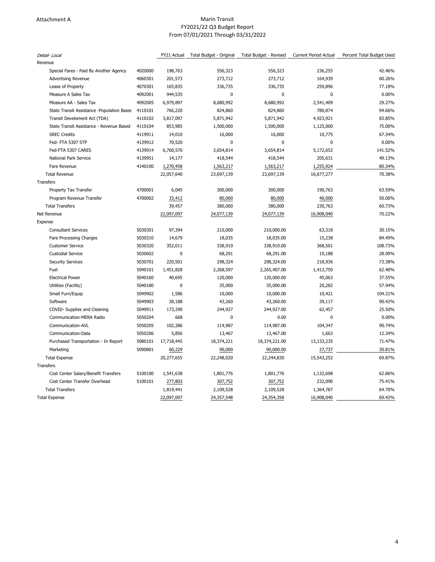#### Attachment A **Marin Transit Marin Transit** FY2021/22 Q3 Budget Report From 07/01/2021 Through 03/31/2022

| Revenue<br>4020000<br>198,763<br>556,323<br>556,323<br>236,255<br>Special Fares - Paid By Another Agency<br>4060301<br>201,573<br>273,712<br>273,712<br>164,939<br><b>Advertising Revenue</b><br>4070301<br>Lease of Property<br>165,835<br>336,735<br>336,735<br>259,896 | 42.46%<br>60.26%<br>77.18% |
|---------------------------------------------------------------------------------------------------------------------------------------------------------------------------------------------------------------------------------------------------------------------------|----------------------------|
|                                                                                                                                                                                                                                                                           |                            |
|                                                                                                                                                                                                                                                                           |                            |
|                                                                                                                                                                                                                                                                           |                            |
|                                                                                                                                                                                                                                                                           |                            |
| 944,535<br>$\theta$<br>$\Omega$<br>Measure A Sales Tax<br>4092001<br>0                                                                                                                                                                                                    | 0.00%                      |
| 4092005<br>8,680,992<br>8,680,992<br>Measure AA - Sales Tax<br>6,979,897<br>2,541,409                                                                                                                                                                                     | 29.27%                     |
| 4110101<br>766,220<br>824,860<br>824,860<br>780,874<br>State Transit Assistance -Population Basec                                                                                                                                                                         | 94.66%                     |
| 4110102<br>3,817,097<br>5,871,942<br>4,923,921<br>Transit Develoment Act (TDA)<br>5,871,942                                                                                                                                                                               | 83.85%                     |
| 4110104<br>853,985<br>1,500,000<br>State Transit Assistance - Revenue Based<br>1,500,000<br>1,125,000                                                                                                                                                                     | 75.00%                     |
| <b>SREC Credits</b><br>4119911<br>14,010<br>16,000<br>16,000<br>10,775                                                                                                                                                                                                    | 67.34%                     |
| Fed-FTA 5307 STP<br>4139912<br>70,520<br>$\mathbf{0}$<br>$\mathbf 0$<br>0                                                                                                                                                                                                 | 0.00%                      |
| 4139914<br>3,654,814<br>Fed-FTA 5307 CARES<br>6,760,570<br>3,654,814<br>5,172,652                                                                                                                                                                                         | 141.52%                    |
| <b>National Park Service</b><br>4139951<br>14,177<br>418,544<br>418,544<br>205,631                                                                                                                                                                                        | 49.13%                     |
| 4140100<br>Fare Revenue<br>1,270,458<br>1,563,217<br>1,563,217<br>1,255,924                                                                                                                                                                                               | 80.34%                     |
| 22,057,640<br>16,677,277<br><b>Total Revenue</b><br>23,697,139<br>23,697,139                                                                                                                                                                                              | 70.38%                     |
| Transfers                                                                                                                                                                                                                                                                 |                            |
| Property Tax Transfer<br>4700001<br>6,045<br>300,000<br>300,000<br>190,763                                                                                                                                                                                                | 63.59%                     |
| Program Revenue Transfer<br>4700002<br>80,000<br>40,000<br>33,412<br>80,000                                                                                                                                                                                               | 50.00%                     |
| 39,457<br>380,000<br>230,763<br><b>Total Transfers</b><br>380,000                                                                                                                                                                                                         | 60.73%                     |
| Net Revenue<br>22,097,097<br>24,077,139<br>24,077,139<br>16,908,040                                                                                                                                                                                                       | 70.22%                     |
| Expense                                                                                                                                                                                                                                                                   |                            |
| <b>Consultant Services</b><br>5030301<br>97,394<br>210,000<br>210,000.00<br>63,318                                                                                                                                                                                        | 30.15%                     |
| Fare Processing Charges<br>5030310<br>14,679<br>18,035<br>18,035.00<br>15,238                                                                                                                                                                                             | 84.49%                     |
| <b>Customer Service</b><br>5030320<br>352,011<br>338,910<br>338,910.00<br>368,501                                                                                                                                                                                         | 108.73%                    |
| $\mathbf 0$<br><b>Custodial Service</b><br>5030602<br>68,291<br>68,291.00<br>19,188                                                                                                                                                                                       | 28.09%                     |
| 5030701<br>220,501<br>298,324<br>298,324.00<br>218,936<br><b>Security Services</b>                                                                                                                                                                                        | 73.38%                     |
| 5040101<br>1,413,750<br>Fuel<br>1,451,828<br>2,268,597<br>2,265,407.00                                                                                                                                                                                                    | 62.40%                     |
| <b>Electrical Power</b><br>5040160<br>40,695<br>120,000<br>120,000.00<br>45,063                                                                                                                                                                                           | 37.55%                     |
| 5040180<br>0<br>35,000<br>35,000.00<br>20,282<br>Utilities (Facility)                                                                                                                                                                                                     | 57.94%                     |
| Small Furn/Equip<br>5049902<br>1,586<br>10,000<br>10,000.00<br>10,421                                                                                                                                                                                                     | 104.21%                    |
| 5049903<br>38,188<br>43,260<br>43,260.00<br>39,117<br>Software                                                                                                                                                                                                            | 90.42%                     |
| 244,927<br>COVID- Supplies and Cleaning<br>5049911<br>173,290<br>244,927.00<br>62,457                                                                                                                                                                                     | 25.50%                     |
| Communication-MERA Radio<br>5050204<br>668<br>0<br>0.00<br>0                                                                                                                                                                                                              | 0.00%                      |
| 5050205<br>102,286<br>114,987.00<br>Communication-AVL<br>114,987<br>104,347                                                                                                                                                                                               | 90.74%                     |
| 5050206<br>Communication-Data<br>5,856<br>13,467<br>13,467.00<br>1,663                                                                                                                                                                                                    | 12.34%                     |
| Purchased Transportation - In Report<br>5080101<br>17,718,445<br>18,374,221<br>18,374,221.00<br>13,133,235                                                                                                                                                                | 71.47%                     |
| Marketing<br>5090801<br>60,229<br>90,000<br>90,000.00<br>27,737                                                                                                                                                                                                           | 30.81%                     |
| <b>Total Expense</b><br>20,277,655<br>22,248,020<br>22,244,830<br>15,543,252                                                                                                                                                                                              | 69.87%                     |
| Transfers                                                                                                                                                                                                                                                                 |                            |
| Cost Center Salary/Benefit Transfers<br>5100100<br>1,801,776<br>1,801,776<br>1,132,698<br>1,541,638                                                                                                                                                                       | 62.86%                     |
| Cost Center Transfer Overhead<br>5100101<br>232,090<br>277,803<br>307,752<br>307,752                                                                                                                                                                                      | 75.41%                     |
| <b>Total Transfers</b><br>1,819,441<br>2,109,528<br>2,109,528<br>1,364,787                                                                                                                                                                                                | 64.70%                     |
| 22,097,097<br>24,357,548<br>16,908,040<br><b>Total Expense</b><br>24,354,358                                                                                                                                                                                              | 69.42%                     |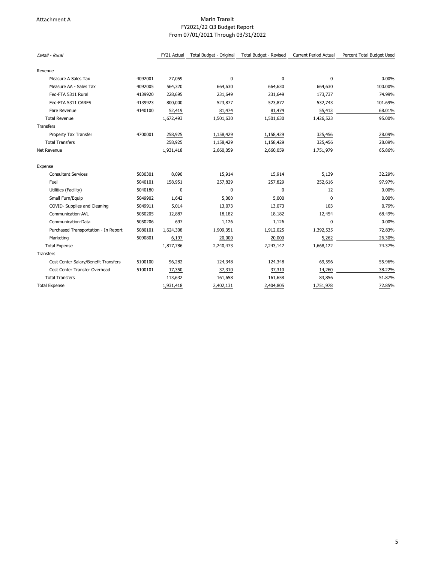#### Attachment A **Marin Transit Marin Transit** FY2021/22 Q3 Budget Report From 07/01/2021 Through 03/31/2022

| Detail - Rural                       |         | FY21 Actual | Total Budget - Original | Total Budget - Revised | <b>Current Period Actual</b> | Percent Total Budget Used |
|--------------------------------------|---------|-------------|-------------------------|------------------------|------------------------------|---------------------------|
| Revenue                              |         |             |                         |                        |                              |                           |
| Measure A Sales Tax                  | 4092001 | 27,059      | $\mathbf 0$             | 0                      | $\Omega$                     | 0.00%                     |
| Measure AA - Sales Tax               | 4092005 | 564,320     | 664,630                 | 664,630                | 664,630                      | 100.00%                   |
| Fed-FTA 5311 Rural                   | 4139920 | 228,695     | 231,649                 | 231,649                | 173,737                      | 74.99%                    |
| Fed-FTA 5311 CARES                   | 4139923 | 800,000     | 523,877                 | 523,877                | 532,743                      | 101.69%                   |
| Fare Revenue                         | 4140100 | 52,419      | 81,474                  | 81,474                 | 55,413                       | 68.01%                    |
| <b>Total Revenue</b>                 |         | 1,672,493   | 1,501,630               | 1,501,630              | 1,426,523                    | 95.00%                    |
| Transfers                            |         |             |                         |                        |                              |                           |
| Property Tax Transfer                | 4700001 | 258,925     | 1,158,429               | 1,158,429              | 325,456                      | 28.09%                    |
| <b>Total Transfers</b>               |         | 258,925     | 1,158,429               | 1,158,429              | 325,456                      | 28.09%                    |
| Net Revenue                          |         | 1,931,418   | 2,660,059               | 2,660,059              | 1,751,979                    | 65.86%                    |
| Expense                              |         |             |                         |                        |                              |                           |
| <b>Consultant Services</b>           | 5030301 | 8,090       | 15,914                  | 15,914                 | 5,139                        | 32.29%                    |
| Fuel                                 | 5040101 | 158,951     | 257,829                 | 257,829                | 252,616                      | 97.97%                    |
| Utilities (Facility)                 | 5040180 | 0           | $\mathbf 0$             | 0                      | 12                           | 0.00%                     |
| Small Furn/Equip                     | 5049902 | 1,642       | 5,000                   | 5,000                  | 0                            | 0.00%                     |
| COVID- Supplies and Cleaning         | 5049911 | 5,014       | 13,073                  | 13,073                 | 103                          | 0.79%                     |
| Communication-AVL                    | 5050205 | 12,887      | 18,182                  | 18,182                 | 12,454                       | 68.49%                    |
| Communication-Data                   | 5050206 | 697         | 1,126                   | 1,126                  | $\mathbf{0}$                 | 0.00%                     |
| Purchased Transportation - In Report | 5080101 | 1,624,308   | 1,909,351               | 1,912,025              | 1,392,535                    | 72.83%                    |
| Marketing                            | 5090801 | 6,197       | 20,000                  | 20,000                 | 5,262                        | 26.30%                    |
| <b>Total Expense</b>                 |         | 1,817,786   | 2,240,473               | 2,243,147              | 1,668,122                    | 74.37%                    |
| Transfers                            |         |             |                         |                        |                              |                           |
| Cost Center Salary/Benefit Transfers | 5100100 | 96,282      | 124,348                 | 124,348                | 69,596                       | 55.96%                    |
| Cost Center Transfer Overhead        | 5100101 | 17,350      | 37,310                  | 37,310                 | 14,260                       | 38.22%                    |
| <b>Total Transfers</b>               |         | 113,632     | 161,658                 | 161,658                | 83,856                       | 51.87%                    |
| <b>Total Expense</b>                 |         | 1,931,418   | 2,402,131               | 2,404,805              | 1,751,978                    | 72.85%                    |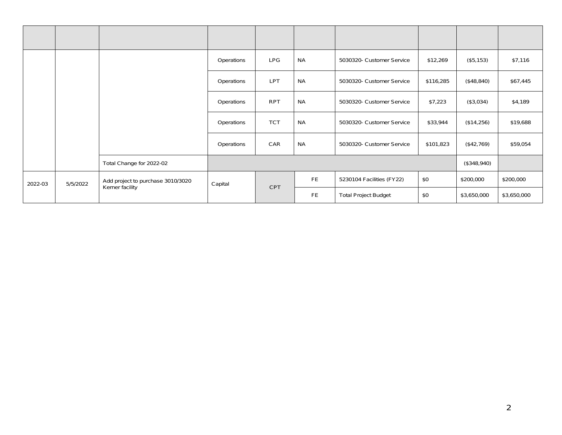| <b>Number</b> | <b>Board</b><br>Authorizatio<br>n | <b>Description</b>                                   | <b>Function</b> | Program    | Project                   | GL                          | Original   | Change      | Final       |
|---------------|-----------------------------------|------------------------------------------------------|-----------------|------------|---------------------------|-----------------------------|------------|-------------|-------------|
|               |                                   |                                                      | Operations      | <b>LPG</b> | <b>NA</b>                 | 5030320- Customer Service   | \$12,269   | (\$5,153)   | \$7,116     |
|               |                                   | Operations                                           | <b>LPT</b>      | <b>NA</b>  | 5030320- Customer Service | \$116,285                   | (\$48,840) | \$67,445    |             |
|               |                                   |                                                      | Operations      | <b>RPT</b> | <b>NA</b>                 | 5030320- Customer Service   | \$7,223    | (\$3,034)   | \$4,189     |
|               |                                   |                                                      | Operations      | <b>TCT</b> | <b>NA</b>                 | 5030320- Customer Service   | \$33,944   | (\$14,256)  | \$19,688    |
|               |                                   |                                                      | Operations      | CAR        | <b>NA</b>                 | 5030320- Customer Service   | \$101,823  | (\$42,769)  | \$59,054    |
|               |                                   | Total Change for 2022-02                             |                 |            |                           |                             |            | (\$348,940) |             |
| 2022-03       | 5/5/2022                          | Add project to purchase 3010/3020<br>Kerner facility | Capital         | <b>CPT</b> | <b>FE</b>                 | 5230104 Facilities (FY22)   | \$0        | \$200,000   | \$200,000   |
|               |                                   |                                                      |                 |            | <b>FE</b>                 | <b>Total Project Budget</b> | \$0        | \$3,650,000 | \$3,650,000 |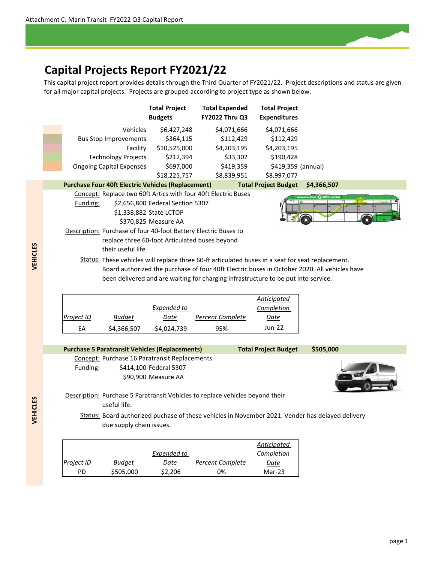# **Capital Projects Report FY2021/22**

This capital project report provides details through the Third Quarter of FY2021/22. Project descriptions and status are given for all major capital projects. Projects are grouped according to project type as shown below.



PD \$505,000 \$2,206 0% Mar‐23

*Date*

*Project ID Budget*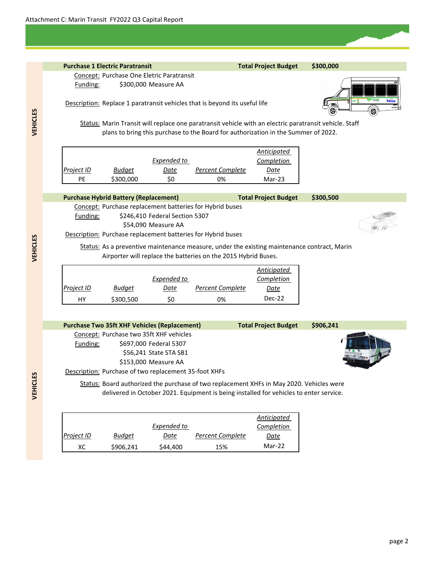# **Purchase 1 Electric Paratransit Total Project Budget \$300,000** Concept: Purchase One Eletric Paratransit Funding: \$300,000 Measure AA Description: Replace 1 paratransit vehicles that is beyond its useful life Status: Marin Transit will replace one paratransit vehicle with an electric paratransit vehicle. Staff *Project ID Budget Expended to Date Percent Complete Anticipated Completion Date* PE \$300,000 \$0 0% Mar-23 **Purchase Hybrid Battery (Replacement) Total Project Budget \$300,500** Concept: Purchase replacement batteries for Hybrid buses Funding: \$246,410 Federal Section 5307 \$54,090 Measure AA Description: Purchase replacement batteries for Hybrid buses Status: As a preventive maintenance measure, under the existing maintenance contract, Marin *Project ID Budget Expended to Date Percent Complete Anticipated Completion Date* HY \$300,500 \$0 0% Dec-22 **Purchase Two 35ft XHF Vehicles (Replacement) Total Project Budget \$906,241** Concept: Purchase two 35ft XHF vehicles Funding: \$697,000 Federal 5307 \$56,241 State STA SB1 \$153,000 Measure AA Description: Purchase of two replacement 35-foot XHFs Status: Board authorized the purchase of two replacement XHFs in May 2020. Vehicles were Airporter will replace the batteries on the 2015 Hybrid Buses. plans to bring this purchase to the Board for authorization in the Summer of 2022.

delivered in October 2021. Equipment is being installed for vehicles to enter service.

|            |               |             |                  | Anticipated |
|------------|---------------|-------------|------------------|-------------|
|            |               | Expended to |                  | Completion  |
| Project ID | <b>Budget</b> | Date        | Percent Complete | Date        |
| xс         | \$906,241     | \$44,400    | 15%              | Mar-22      |

**VEHICLES VEHICLES**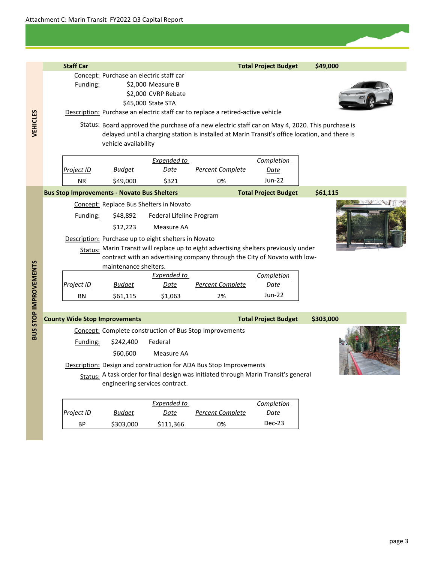|                       | <b>Staff Car</b>                                   |                                         |                                                      |                                                                                                  | <b>Total Project Budget</b> | \$49,000  |
|-----------------------|----------------------------------------------------|-----------------------------------------|------------------------------------------------------|--------------------------------------------------------------------------------------------------|-----------------------------|-----------|
|                       |                                                    | Concept: Purchase an electric staff car |                                                      |                                                                                                  |                             |           |
|                       | Funding:                                           |                                         | \$2,000 Measure B                                    |                                                                                                  |                             |           |
|                       |                                                    |                                         | \$2,000 CVRP Rebate                                  |                                                                                                  |                             |           |
|                       |                                                    |                                         | \$45,000 State STA                                   |                                                                                                  |                             |           |
|                       |                                                    |                                         |                                                      | Description: Purchase an electric staff car to replace a retired-active vehicle                  |                             |           |
| <b>VEHICLES</b>       |                                                    |                                         |                                                      | Status: Board approved the purchase of a new electric staff car on May 4, 2020. This purchase is |                             |           |
|                       |                                                    |                                         |                                                      | delayed until a charging station is installed at Marin Transit's office location, and there is   |                             |           |
|                       |                                                    | vehicle availability                    |                                                      |                                                                                                  |                             |           |
|                       |                                                    |                                         | Expended to                                          |                                                                                                  | <b>Completion</b>           |           |
|                       | Project ID                                         | Budget                                  | Date                                                 | <b>Percent Complete</b>                                                                          | <u>Date</u>                 |           |
|                       | <b>NR</b>                                          | \$49,000                                | \$321                                                | 0%                                                                                               | <b>Jun-22</b>               |           |
|                       | <b>Bus Stop Improvements - Novato Bus Shelters</b> |                                         |                                                      |                                                                                                  | <b>Total Project Budget</b> | \$61,115  |
|                       |                                                    |                                         | <b>Concept: Replace Bus Shelters in Novato</b>       |                                                                                                  |                             |           |
|                       | Funding:                                           | \$48,892                                | Federal Lifeline Program                             |                                                                                                  |                             |           |
|                       |                                                    | \$12,223                                | Measure AA                                           |                                                                                                  |                             |           |
|                       |                                                    |                                         | Description: Purchase up to eight shelters in Novato |                                                                                                  |                             |           |
|                       |                                                    |                                         |                                                      | Status: Marin Transit will replace up to eight advertising shelters previously under             |                             |           |
|                       |                                                    |                                         |                                                      | contract with an advertising company through the City of Novato with low-                        |                             |           |
|                       |                                                    | maintenance shelters.                   |                                                      |                                                                                                  |                             |           |
|                       |                                                    |                                         | Expended to                                          |                                                                                                  | <b>Completion</b>           |           |
|                       | Project ID                                         | <b>Budget</b>                           | Date                                                 | Percent Complete                                                                                 | Date                        |           |
|                       | BN                                                 | \$61,115                                | \$1,063                                              | 2%                                                                                               | Jun-22                      |           |
|                       |                                                    |                                         |                                                      |                                                                                                  |                             |           |
|                       | <b>County Wide Stop Improvements</b>               |                                         |                                                      |                                                                                                  | <b>Total Project Budget</b> | \$303,000 |
| BUS STOP IMPROVEMENTS |                                                    |                                         |                                                      | Concept: Complete construction of Bus Stop Improvements                                          |                             |           |
|                       | Funding:                                           | \$242,400                               | Federal                                              |                                                                                                  |                             |           |
|                       |                                                    | \$60,600                                | Measure AA                                           |                                                                                                  |                             |           |
|                       |                                                    |                                         |                                                      | Description: Design and construction for ADA Bus Stop Improvements                               |                             |           |
|                       |                                                    |                                         |                                                      | Status: A task order for final design was initiated through Marin Transit's general              |                             |           |
|                       |                                                    |                                         | engineering services contract.                       |                                                                                                  |                             |           |
|                       |                                                    |                                         |                                                      |                                                                                                  |                             |           |
|                       |                                                    |                                         | Expended to                                          |                                                                                                  | <b>Completion</b>           |           |
|                       | Project ID                                         | <u>Budget</u>                           | Date                                                 | <b>Percent Complete</b>                                                                          | <u>Date</u>                 |           |

BP \$303,000 \$111,366 0% Dec‐23

page 3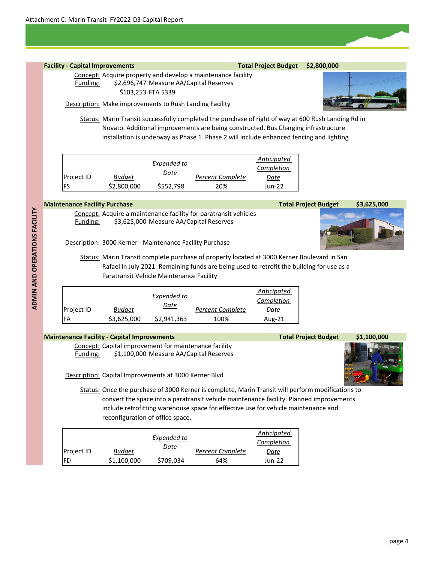# **Facility** - Capital Improvements **Total Project** Budget \$2,800,000 Concept: Acquire property and develop a maintenance facility Funding: \$2,696,747 Measure AA/Capital Reserves \$103,253 FTA 5339 Description: Make improvements to Rush Landing Facility Status: Marin Transit successfully completed the purchase of right of way at 600 Rush Landing Rd in

Novato. Additional improvements are being constructed. Bus Charging infrastructure installation is underway as Phase 1. Phase 2 will include enhanced fencing and lighting.

|                   |               | Expended to |                         | Anticipated<br>Completion |
|-------------------|---------------|-------------|-------------------------|---------------------------|
| <b>Project ID</b> | <b>Budget</b> | Date        | <b>Percent Complete</b> | Date                      |
| FS                | \$2,800,000   | \$552,798   | 20%                     | Jun-22                    |

#### **Maintenance Facility Purchase Total Project Budget**

Concept: Acquire a maintenance facility for paratransit vehicles Funding: \$3,625,000 Measure AA/Capital Reserves



Description: 3000 Kerner ‐ Maintenance Facility Purchase

Status: Marin Transit complete purchase of property located at 3000 Kerner Boulevard in San Rafael in July 2021. Remaining funds are being used to retrofit the building for use as a Paratransit Vehicle Maintenance Facility

|            |               | Expended to |                  | Anticipated<br>Completion |
|------------|---------------|-------------|------------------|---------------------------|
| Project ID | <b>Budget</b> | Date        | Percent Complete | Date                      |
| FA         | \$3,625,000   | \$2,941,363 | 100%             | Aug-21                    |

## **Maintenance Facility ‐ Capital Improvements Total Project Budget**

Concept: Capital improvement for maintenance facility Funding: \$1,100,000 Measure AA/Capital Reserves

Description: Capital Improvements at 3000 Kerner Blvd

Status: Once the purchase of 3000 Kerner is complete, Marin Transit will perform modifications to convert the space into a paratransit vehicle maintenance facility. Planned improvements include retrofitting warehouse space for effective use for vehicle maintenance and reconfiguration of office space.

|                   |             |             |                         | Anticipated |
|-------------------|-------------|-------------|-------------------------|-------------|
|                   |             | Expended to |                         | Completion  |
| <b>Project ID</b> | Budget      | <u>Date</u> | <b>Percent Complete</b> | Date        |
| FD                | \$1,100,000 | \$709,034   | 64%                     | Jun-22      |